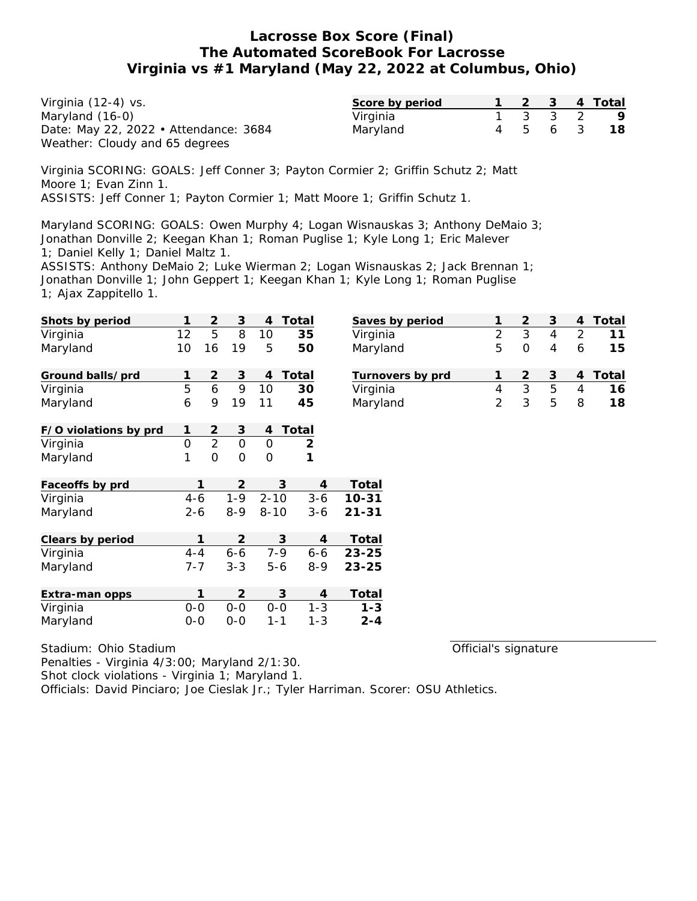| Virginia (12-4) vs.                   | Score by period |  |         | 1 2 3 4 Total |
|---------------------------------------|-----------------|--|---------|---------------|
| Maryland (16-0)                       | Virginia        |  | 1 3 3 2 | - 9           |
| Date: May 22, 2022 • Attendance: 3684 | Maryland        |  |         | 4 5 6 3 18    |
| Weather: Cloudy and 65 degrees        |                 |  |         |               |

Virginia SCORING: GOALS: Jeff Conner 3; Payton Cormier 2; Griffin Schutz 2; Matt Moore 1; Evan Zinn 1. ASSISTS: Jeff Conner 1; Payton Cormier 1; Matt Moore 1; Griffin Schutz 1.

Maryland SCORING: GOALS: Owen Murphy 4; Logan Wisnauskas 3; Anthony DeMaio 3; Jonathan Donville 2; Keegan Khan 1; Roman Puglise 1; Kyle Long 1; Eric Malever 1; Daniel Kelly 1; Daniel Maltz 1.

ASSISTS: Anthony DeMaio 2; Luke Wierman 2; Logan Wisnauskas 2; Jack Brennan 1; Jonathan Donville 1; John Geppert 1; Keegan Khan 1; Kyle Long 1; Roman Puglise 1; Ajax Zappitello 1.

| Shots by period       |              | 2              | 3              | 4             | Total          | Saves by period  | 1              | $\mathbf{2}$   | $\mathsf 3$ | 4              | Total |
|-----------------------|--------------|----------------|----------------|---------------|----------------|------------------|----------------|----------------|-------------|----------------|-------|
| Virginia              | 12           | 5              | 8              | 10            | 35             | Virginia         | $\overline{2}$ | 3              | 4           | $\overline{2}$ | 11    |
| Maryland              | 10           | 16             | 19             | 5             | 50             | Maryland         | 5              | $\overline{O}$ | 4           | 6              | 15    |
| Ground balls/prd      | 1            | $\overline{2}$ | 3              | 4             | Total          | Turnovers by prd | 1              | $\overline{2}$ | 3           | 4              | Total |
| Virginia              | 5            | 6              | 9              | 10            | 30             | Virginia         | 4              | 3              | 5           | $\overline{4}$ | 16    |
| Maryland              | 6            | 9              | 19             | 11            | 45             | Maryland         | 2              | 3              | 5           | 8              | 18    |
| F/O violations by prd | $\mathbf{1}$ | $\overline{2}$ | 3              | 4             | Total          |                  |                |                |             |                |       |
| Virginia              | $\mathbf 0$  | $\overline{2}$ | $\overline{0}$ | $\Omega$      | $\overline{2}$ |                  |                |                |             |                |       |
| Maryland              | 1            | $\overline{O}$ | $\Omega$       | $\mathcal{O}$ | $\mathbf 1$    |                  |                |                |             |                |       |
| Faceoffs by prd       |              | 1              | 2              |               | 3<br>4         | Total            |                |                |             |                |       |
| Virginia              | $4 - 6$      |                | $1 - 9$        | $2 - 10$      | $3 - 6$        | $10 - 31$        |                |                |             |                |       |
| Maryland              | $2 - 6$      |                | $8 - 9$        | $8 - 10$      | $3 - 6$        | $21 - 31$        |                |                |             |                |       |
| Clears by period      |              | 1              | 2              |               | 3<br>4         | Total            |                |                |             |                |       |
| Virginia              | $4 - 4$      |                | $6 - 6$        | $7 - 9$       | $6 - 6$        | $23 - 25$        |                |                |             |                |       |
| Maryland              | $7 - 7$      |                | $3 - 3$        | $5 - 6$       | $8 - 9$        | $23 - 25$        |                |                |             |                |       |
| Extra-man opps        |              | 1              | 2              |               | 3<br>4         | Total            |                |                |             |                |       |
| Virginia              | $0-0$        |                | $0-0$          | $0-0$         | $1 - 3$        | $1 - 3$          |                |                |             |                |       |
| Maryland              | $0-0$        |                | $0 - 0$        | $1 - 1$       | $1 - 3$        | $2 - 4$          |                |                |             |                |       |

Stadium: Ohio Stadium

Official's signature

Penalties - Virginia 4/3:00; Maryland 2/1:30.

Shot clock violations - Virginia 1; Maryland 1.

Officials: David Pinciaro; Joe Cieslak Jr.; Tyler Harriman. Scorer: OSU Athletics.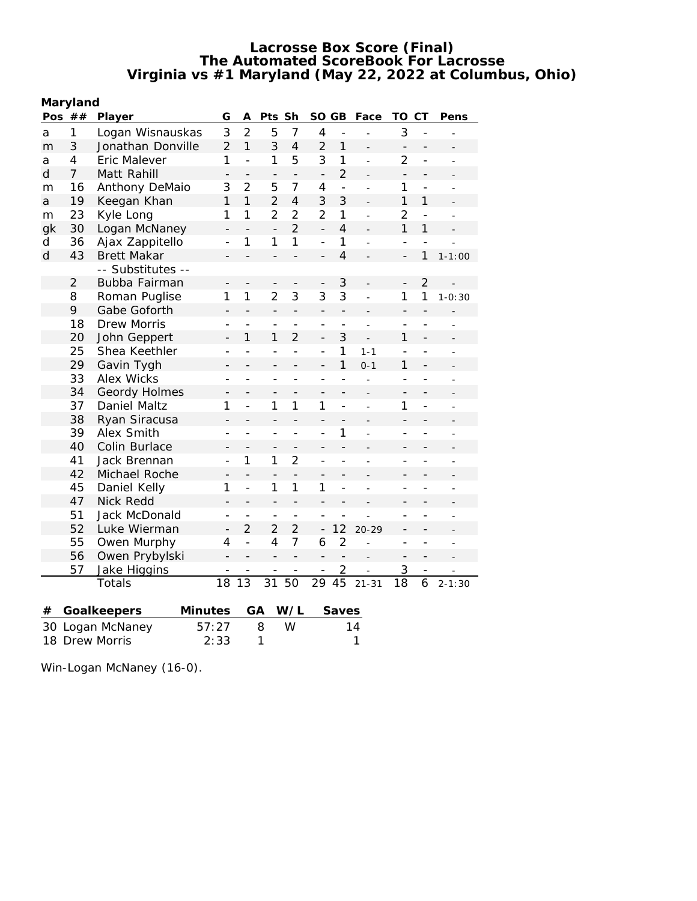| Maryland       |                |                     |                          |                          |                          |                   |                          |                          |                |                          |                |                |
|----------------|----------------|---------------------|--------------------------|--------------------------|--------------------------|-------------------|--------------------------|--------------------------|----------------|--------------------------|----------------|----------------|
|                | Pos $##$       | Player              | G                        | Α                        | Pts                      | Sh                | SO GB                    |                          | Face           | TO                       | СT             | Pens           |
| a              | 1              | Logan Wisnauskas    | 3                        | $\overline{2}$           | 5                        | 7                 | $\overline{4}$           | $\overline{a}$           | L.             | 3                        | $\overline{a}$ |                |
| m              | 3              | Jonathan Donville   | $\overline{2}$           | $\mathbf{1}$             | 3                        | $\overline{4}$    | $\overline{2}$           | $\mathbf{1}$             |                | $\qquad \qquad -$        | -              |                |
| а              | $\overline{4}$ | <b>Eric Malever</b> | 1                        | $\overline{a}$           | 1                        | 5                 | 3                        | 1                        | $\overline{a}$ | $\overline{2}$           | $\overline{a}$ |                |
| d              | $\overline{7}$ | Matt Rahill         | $\qquad \qquad -$        | $\overline{\phantom{0}}$ | $\qquad \qquad -$        | $\qquad \qquad -$ | $\overline{\phantom{0}}$ | $\overline{2}$           |                | $\qquad \qquad -$        | $\overline{a}$ |                |
| m              | 16             | Anthony DeMaio      | 3                        | 2                        | 5                        | 7                 | 4                        | $\frac{1}{2}$            | $\overline{a}$ | 1                        | $\overline{a}$ | $\overline{a}$ |
| a              | 19             | Keegan Khan         | 1                        | 1                        | $\overline{2}$           | $\overline{4}$    | 3                        | 3                        |                | $\mathbf{1}$             | 1              |                |
| m              | 23             | Kyle Long           | 1                        | 1                        | $\overline{2}$           | $\overline{2}$    | $\overline{2}$           | $\mathbf{1}$             |                | $\overline{2}$           | $\overline{a}$ |                |
| gk             | 30             | Logan McNaney       | $\overline{a}$           |                          | $\overline{a}$           | $\overline{2}$    | $\overline{a}$           | $\overline{4}$           |                | $\mathbf{1}$             | 1              |                |
| d              | 36             | Ajax Zappitello     | $\overline{a}$           | 1                        | 1                        | 1                 | $\overline{a}$           | $\mathbf{1}$             |                | $\overline{a}$           |                |                |
| d              | 43             | <b>Brett Makar</b>  |                          |                          | $\overline{a}$           | $\overline{a}$    | $\overline{\phantom{0}}$ | $\overline{4}$           |                | $\overline{\phantom{0}}$ | 1              | $1 - 1:00$     |
|                |                | -- Substitutes --   |                          |                          |                          |                   |                          |                          |                |                          |                |                |
|                | $\overline{2}$ | Bubba Fairman       | -                        |                          | $\overline{\phantom{0}}$ |                   | -                        | 3                        |                | $\overline{\phantom{0}}$ | $\overline{2}$ |                |
|                | 8              | Roman Puglise       | 1                        | 1                        | $\overline{2}$           | 3                 | 3                        | 3                        |                | 1                        | 1              | $1 - 0:30$     |
|                | 9              | Gabe Goforth        |                          |                          | $\overline{a}$           | $\overline{a}$    |                          | $\overline{a}$           |                | $\overline{a}$           |                |                |
|                | 18             | Drew Morris         | $\overline{a}$           |                          | $\overline{a}$           | $\overline{a}$    | $\overline{\phantom{a}}$ | $\overline{a}$           |                | $\overline{a}$           | $\overline{a}$ |                |
|                | 20             | John Geppert        | $\qquad \qquad -$        | 1                        | $\mathbf{1}$             | $\overline{2}$    | $\overline{a}$           | 3                        |                | $\mathbf{1}$             | $\overline{a}$ |                |
|                | 25             | Shea Keethler       | $\overline{a}$           | $\overline{a}$           | $\overline{a}$           | $\overline{a}$    | $\overline{a}$           | 1                        | $1 - 1$        | $\overline{a}$           | $\overline{a}$ |                |
|                | 29             | Gavin Tygh          | $\overline{\phantom{0}}$ | $\overline{a}$           | -                        | $\overline{a}$    | $\overline{\phantom{0}}$ | 1                        | $0 - 1$        | 1                        | $\overline{a}$ |                |
|                | 33             | <b>Alex Wicks</b>   |                          |                          | $\overline{a}$           |                   |                          | $\overline{a}$           | $\overline{a}$ | $\overline{a}$           |                |                |
|                | 34             | Geordy Holmes       | $\overline{\phantom{0}}$ |                          | -                        |                   | $\overline{a}$           | $\overline{a}$           |                | -                        | -              |                |
|                | 37             | Daniel Maltz        | 1                        | $\overline{a}$           | 1                        | 1                 | 1                        | $\overline{a}$           |                | 1                        | $\overline{a}$ |                |
|                | 38             | Ryan Siracusa       | $\overline{\phantom{0}}$ | $\overline{a}$           | $\overline{a}$           | $\overline{a}$    | $\overline{a}$           |                          | $\overline{a}$ | $\overline{\phantom{0}}$ | $\overline{a}$ |                |
|                | 39             | Alex Smith          | $\overline{a}$           | $\overline{a}$           | L.                       | $\overline{a}$    | $\overline{a}$           | 1                        |                | $\overline{a}$           | $\overline{a}$ |                |
|                | 40             | Colin Burlace       |                          |                          | $\overline{\phantom{0}}$ | $\overline{a}$    |                          | $\overline{a}$           |                |                          |                |                |
|                | 41             | Jack Brennan        | $\overline{a}$           | 1                        | 1                        | $\overline{2}$    | $\overline{a}$           | $\overline{a}$           | $\overline{a}$ | $\overline{a}$           | $\overline{a}$ | ۳              |
|                | 42             | Michael Roche       |                          | $\overline{\phantom{0}}$ | $\overline{\phantom{0}}$ |                   | -                        |                          |                |                          |                |                |
|                | 45             | Daniel Kelly        | 1                        | $\overline{a}$           | 1                        | 1                 | 1                        | $\overline{a}$           |                | $\overline{a}$           | $\overline{a}$ |                |
|                | 47             | <b>Nick Redd</b>    | $\overline{a}$           | $\overline{a}$           | $\overline{a}$           | $\overline{a}$    | $\overline{\phantom{0}}$ |                          |                | $\overline{\phantom{0}}$ |                |                |
|                | 51             | Jack McDonald       |                          | $\overline{a}$           | $\qquad \qquad -$        | $\overline{a}$    |                          |                          |                | $\overline{\phantom{a}}$ | $\overline{a}$ |                |
|                | 52             | Luke Wierman        | $\qquad \qquad -$        | $\overline{2}$           | $\overline{2}$           | $\overline{2}$    | $\overline{a}$           | 12                       | $20 - 29$      | $\overline{a}$           | $\overline{a}$ |                |
|                | 55             | Owen Murphy         | 4                        | $\overline{a}$           | $\overline{4}$           | $\overline{7}$    | 6                        | $\overline{2}$           |                | $\overline{a}$           | $\overline{a}$ |                |
|                | 56             | Owen Prybylski      | $\overline{a}$           | $\overline{\phantom{0}}$ | $\overline{a}$           | $\qquad \qquad -$ | $\overline{\phantom{0}}$ | $\overline{\phantom{m}}$ |                | $\overline{\phantom{0}}$ | $\overline{a}$ |                |
|                | 57             | Jake Higgins        |                          |                          | $\overline{\phantom{0}}$ | $\overline{a}$    | $\overline{\phantom{0}}$ | $\overline{2}$           |                | 3                        | $\overline{a}$ |                |
|                |                | Totals              | 18                       | $\overline{13}$          | 31                       | 50                | 29                       | 45                       | $21 - 31$      | 18                       | 6              | $2 - 1:30$     |
|                |                |                     |                          |                          |                          |                   |                          |                          |                |                          |                |                |
| #              |                | Goalkeepers         | <b>Minutes</b>           |                          | GA                       | W/L               |                          | Saves                    |                |                          |                |                |
|                |                | 30 Logan McNaney    | 57:27                    |                          | 8                        | W                 |                          |                          | 14             |                          |                |                |
| 18 Drew Morris |                |                     | 2:33                     |                          | 1                        |                   |                          |                          | 1              |                          |                |                |

Win-Logan McNaney (16-0).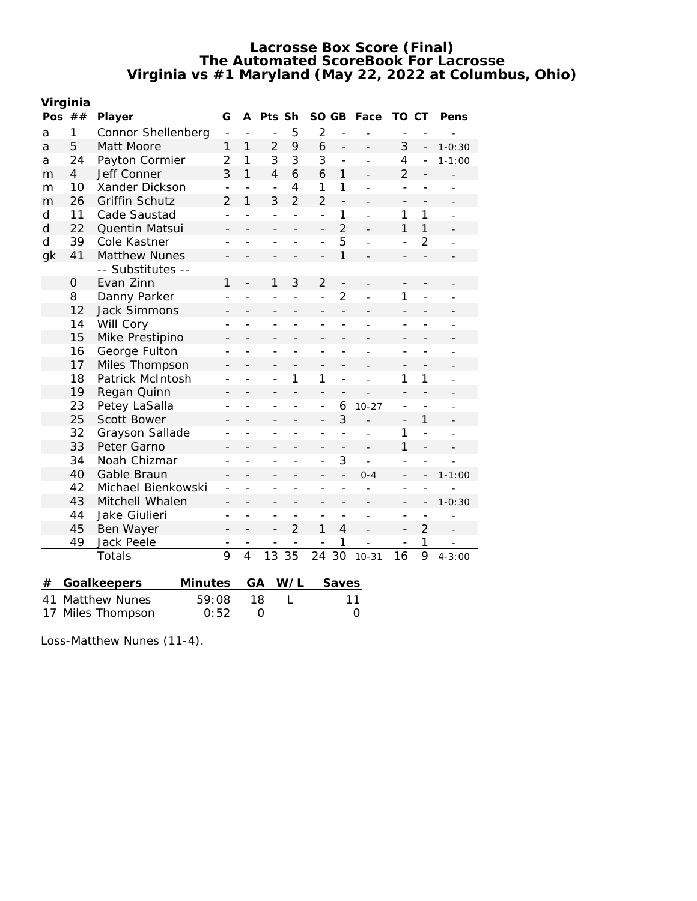| Virginia     |                      |                        |                          |                          |                          |                          |                          |                          |                |                          |                          |                          |
|--------------|----------------------|------------------------|--------------------------|--------------------------|--------------------------|--------------------------|--------------------------|--------------------------|----------------|--------------------------|--------------------------|--------------------------|
|              | Pos $##$<br>Player   |                        |                          | A                        | Pts Sh                   |                          | <b>SO</b>                | GB                       | Face           | TO                       | CТ                       | Pens                     |
| a            | 1                    | Connor Shellenberg     | $\frac{1}{2}$            | $\overline{\phantom{a}}$ | $\overline{a}$           | 5                        | $\overline{2}$           | $\overline{a}$           | $\overline{a}$ |                          |                          |                          |
| a            | 5                    | Matt Moore             | 1                        | $\mathbf{1}$             | $\overline{2}$           | 9                        | 6                        | $\overline{\phantom{0}}$ |                | 3                        | $\overline{\phantom{a}}$ | $1 - 0:30$               |
| a            | 24                   | Payton Cormier         | $\overline{2}$           | $\mathbf{1}$             | 3                        | 3                        | 3                        | $\overline{a}$           |                | 4                        |                          | $1 - 1:00$               |
| m            | $\overline{4}$       | Jeff Conner            | 3                        | 1                        | $\overline{4}$           | 6                        | 6                        | 1                        |                | $\overline{2}$           |                          |                          |
| m            | 10                   | Xander Dickson         | $\overline{a}$           | $\overline{a}$           | $\overline{a}$           | $\overline{4}$           | 1                        | 1                        | $\overline{a}$ | $\overline{a}$           |                          |                          |
| m            | 26                   | <b>Griffin Schutz</b>  | $\overline{2}$           | 1                        | 3                        | $\overline{2}$           | $\overline{2}$           | $\overline{\phantom{m}}$ |                | $\overline{a}$           |                          |                          |
| d            | 11                   | Cade Saustad           | $\overline{a}$           | $\overline{a}$           | $\overline{a}$           | $\overline{a}$           | $\overline{a}$           | $\mathbf{1}$             | $\overline{a}$ | 1                        | $\mathbf{1}$             | $\overline{a}$           |
| $\mathsf{d}$ | 22                   | Quentin Matsui         | $\overline{\phantom{0}}$ |                          | $\overline{a}$           |                          | $\overline{\phantom{0}}$ | $\overline{2}$           |                | $\mathbf{1}$             | 1                        |                          |
| $\mathsf{d}$ | 39                   | Cole Kastner           | ۰                        |                          | $\overline{a}$           |                          | $\overline{a}$           | 5                        | $\overline{a}$ | $\overline{a}$           | $\overline{2}$           |                          |
| gk           | 41                   | <b>Matthew Nunes</b>   |                          |                          |                          |                          |                          | 1                        |                |                          |                          |                          |
|              |                      | -- Substitutes --      |                          |                          |                          |                          |                          |                          |                |                          |                          |                          |
|              | 0                    | Evan Zinn              | 1                        |                          | $\mathbf{1}$             | 3                        | $\overline{2}$           | $\qquad \qquad -$        |                |                          |                          |                          |
|              | 8                    | Danny Parker           | $\overline{a}$           |                          | $\overline{a}$           | $\overline{a}$           | $\overline{a}$           | $\overline{2}$           | $\overline{a}$ | 1                        | $\overline{a}$           |                          |
|              | 12                   | <b>Jack Simmons</b>    | -                        |                          | $\qquad \qquad -$        | $\overline{a}$           | $\overline{\phantom{0}}$ | $\overline{a}$           |                | $\qquad \qquad -$        | $\overline{a}$           |                          |
|              | 14                   | Will Cory              |                          | $\overline{a}$           | $\overline{a}$           |                          | $\overline{a}$           | $\overline{a}$           |                | $\overline{a}$           |                          |                          |
|              | 15                   | Mike Prestipino        | -                        |                          |                          |                          | $\overline{a}$           | $\overline{a}$           |                | $\overline{\phantom{0}}$ |                          |                          |
|              | 16                   | George Fulton          |                          | $\overline{a}$           | $\overline{\phantom{0}}$ | $\overline{a}$           | $\overline{a}$           | $\overline{a}$           |                | $\overline{a}$           | $\overline{a}$           |                          |
|              | 17                   | Miles Thompson         |                          | $\overline{\phantom{0}}$ | $\qquad \qquad -$        | $\overline{\phantom{a}}$ | $\overline{\phantom{0}}$ | $\overline{\phantom{0}}$ |                | $\overline{\phantom{m}}$ | $\overline{a}$           |                          |
|              | 18                   | Patrick McIntosh       | $\overline{\phantom{0}}$ | $\overline{a}$           | $\overline{a}$           | 1                        | 1                        | $\overline{a}$           | $\overline{a}$ | 1                        | 1                        |                          |
|              | 19                   | Regan Quinn            | -                        | $\overline{\phantom{0}}$ | $\qquad \qquad -$        | $\overline{a}$           | $\overline{\phantom{0}}$ | $\overline{\phantom{0}}$ |                | $\qquad \qquad -$        |                          |                          |
|              | 23                   | Petey LaSalla          | $\overline{\phantom{0}}$ |                          | $\overline{\phantom{0}}$ |                          | $\overline{\phantom{0}}$ | 6                        | $10 - 27$      | $\overline{a}$           |                          | L,                       |
|              | 25                   | Scott Bower            | -                        |                          | -                        |                          | $\overline{\phantom{0}}$ | 3                        |                | -                        | $\mathbf{1}$             |                          |
|              | 32                   | Grayson Sallade        | $\overline{a}$           | L                        | $\overline{a}$           |                          | $\overline{a}$           | $\overline{a}$           | L,             | 1                        | $\overline{a}$           | L                        |
|              | 33                   | Peter Garno            | -                        |                          | -                        |                          | -                        |                          |                | $\mathbf{1}$             |                          |                          |
|              | 34                   | Noah Chizmar           | $\overline{a}$           |                          | $\overline{a}$           |                          | $\overline{a}$           | 3                        |                | $\overline{a}$           |                          |                          |
|              | 40                   | Gable Braun            | -                        |                          |                          |                          |                          |                          | $0 - 4$        |                          |                          | $1 - 1:00$               |
|              | 42                   | Michael Bienkowski     | $\overline{a}$           |                          | $\overline{a}$           |                          | $\overline{a}$           | $\overline{a}$           |                | $\overline{a}$           |                          |                          |
|              | 43                   | Mitchell Whalen        | $\qquad \qquad -$        |                          | $\overline{\phantom{0}}$ | $\overline{a}$           | $\overline{\phantom{0}}$ | $\overline{a}$           |                | $\overline{\phantom{0}}$ |                          | $1 - 0:30$               |
|              | 44                   | Jake Giulieri          | $\overline{a}$           | $\overline{a}$           | $\overline{a}$           |                          | $\overline{a}$           |                          | $\overline{a}$ | $\overline{a}$           |                          | $\overline{a}$           |
|              | 45                   | Ben Wayer              | $\overline{\phantom{0}}$ |                          | $\overline{a}$           | $\overline{2}$           | 1                        | $\overline{4}$           | L,             | $\qquad \qquad -$        | $\overline{2}$           | $\overline{\phantom{a}}$ |
|              | 49                   | Jack Peele             |                          |                          |                          |                          |                          | 1                        |                |                          | 1                        |                          |
|              |                      | Totals                 | $\overline{9}$           | $\overline{4}$           | 13                       | $\overline{35}$          | 24                       | 30                       | $10 - 31$      | 16                       | 9                        | $4 - 3:00$               |
|              |                      |                        |                          |                          |                          |                          |                          |                          |                |                          |                          |                          |
| #            |                      | Minutes<br>Goalkeepers |                          | GA                       |                          | W/L                      |                          | Saves                    |                |                          |                          |                          |
| 41           | <b>Matthew Nunes</b> |                        | 59:08                    |                          | 18                       | L                        |                          |                          | 11             |                          |                          |                          |
| 17           | Miles Thompson       |                        | 0:52                     | $\overline{O}$           |                          | $\overline{O}$           |                          |                          |                |                          |                          |                          |

Loss-Matthew Nunes (11-4).